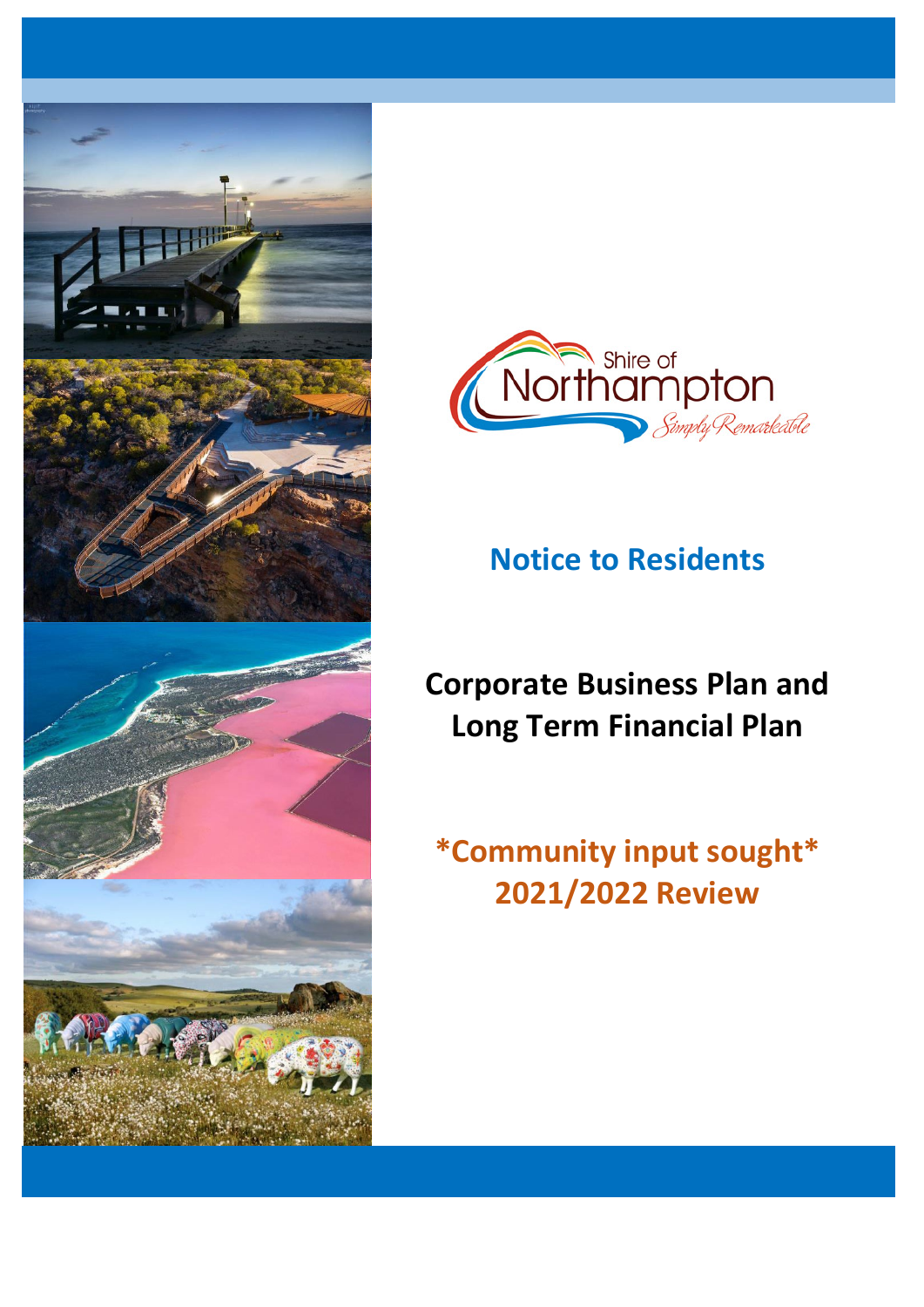



## **Notice to Residents**

# **Corporate Business Plan and Long Term Financial Plan**

# **\*Community input sought\* 2021/2022 Review**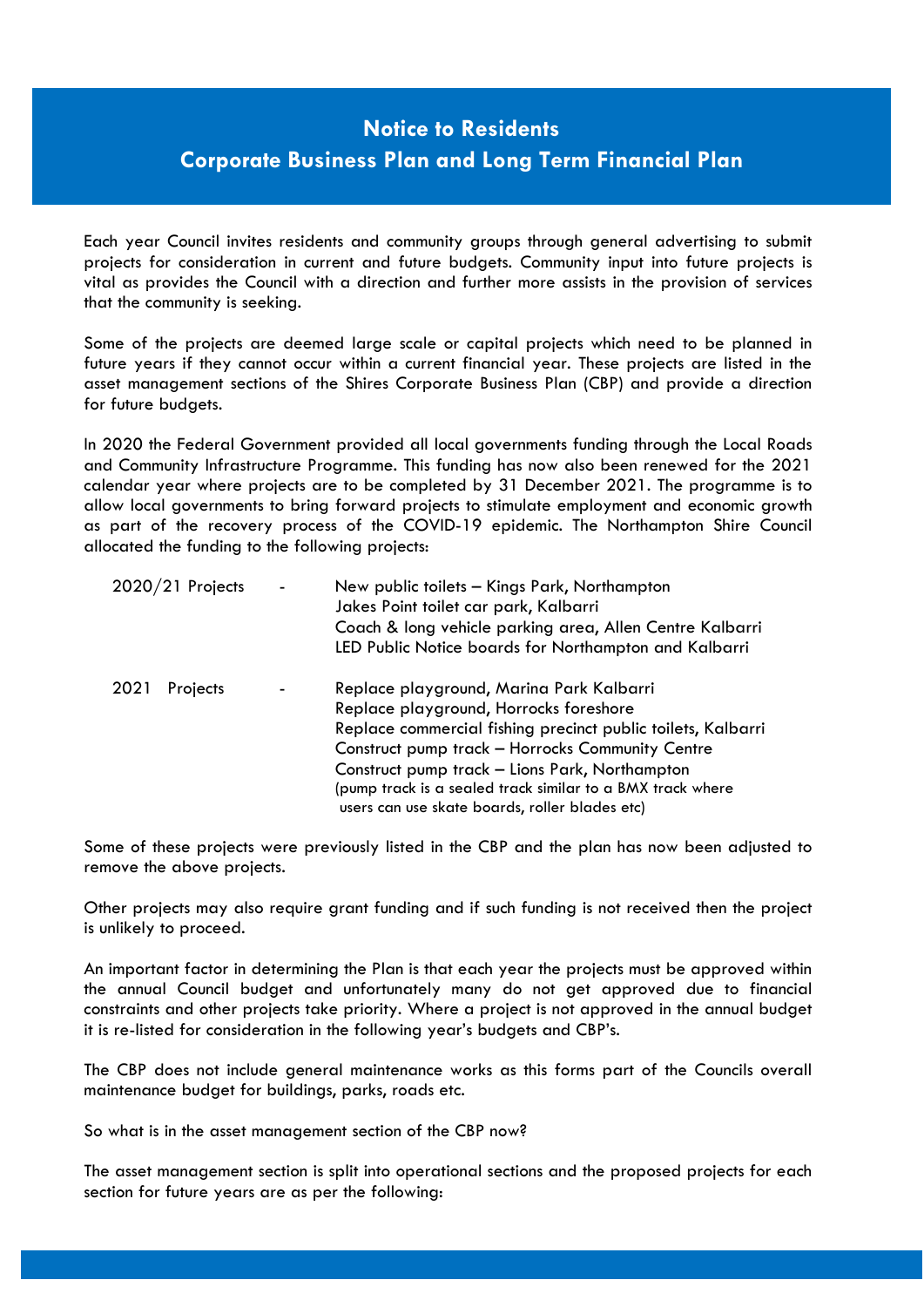## **Notice to Residents Corporate Business Plan and Long Term Financial Plan**

Each year Council invites residents and community groups through general advertising to submit projects for consideration in current and future budgets. Community input into future projects is vital as provides the Council with a direction and further more assists in the provision of services that the community is seeking.

Some of the projects are deemed large scale or capital projects which need to be planned in future years if they cannot occur within a current financial year. These projects are listed in the asset management sections of the Shires Corporate Business Plan (CBP) and provide a direction for future budgets.

In 2020 the Federal Government provided all local governments funding through the Local Roads and Community Infrastructure Programme. This funding has now also been renewed for the 2021 calendar year where projects are to be completed by 31 December 2021. The programme is to allow local governments to bring forward projects to stimulate employment and economic growth as part of the recovery process of the COVID-19 epidemic. The Northampton Shire Council allocated the funding to the following projects:

| $2020/21$ Projects | New public toilets - Kings Park, Northampton<br>Jakes Point toilet car park, Kalbarri<br>Coach & long vehicle parking area, Allen Centre Kalbarri<br>LED Public Notice boards for Northampton and Kalbarri                                                                                                                                                               |
|--------------------|--------------------------------------------------------------------------------------------------------------------------------------------------------------------------------------------------------------------------------------------------------------------------------------------------------------------------------------------------------------------------|
| 2021<br>Projects   | Replace playground, Marina Park Kalbarri<br>Replace playground, Horrocks foreshore<br>Replace commercial fishing precinct public toilets, Kalbarri<br>Construct pump track - Horrocks Community Centre<br>Construct pump track - Lions Park, Northampton<br>(pump track is a sealed track similar to a BMX track where<br>users can use skate boards, roller blades etc) |

Some of these projects were previously listed in the CBP and the plan has now been adjusted to remove the above projects.

Other projects may also require grant funding and if such funding is not received then the project is unlikely to proceed.

An important factor in determining the Plan is that each year the projects must be approved within the annual Council budget and unfortunately many do not get approved due to financial constraints and other projects take priority. Where a project is not approved in the annual budget it is re-listed for consideration in the following year's budgets and CBP's.

The CBP does not include general maintenance works as this forms part of the Councils overall maintenance budget for buildings, parks, roads etc.

So what is in the asset management section of the CBP now?

The asset management section is split into operational sections and the proposed projects for each section for future years are as per the following: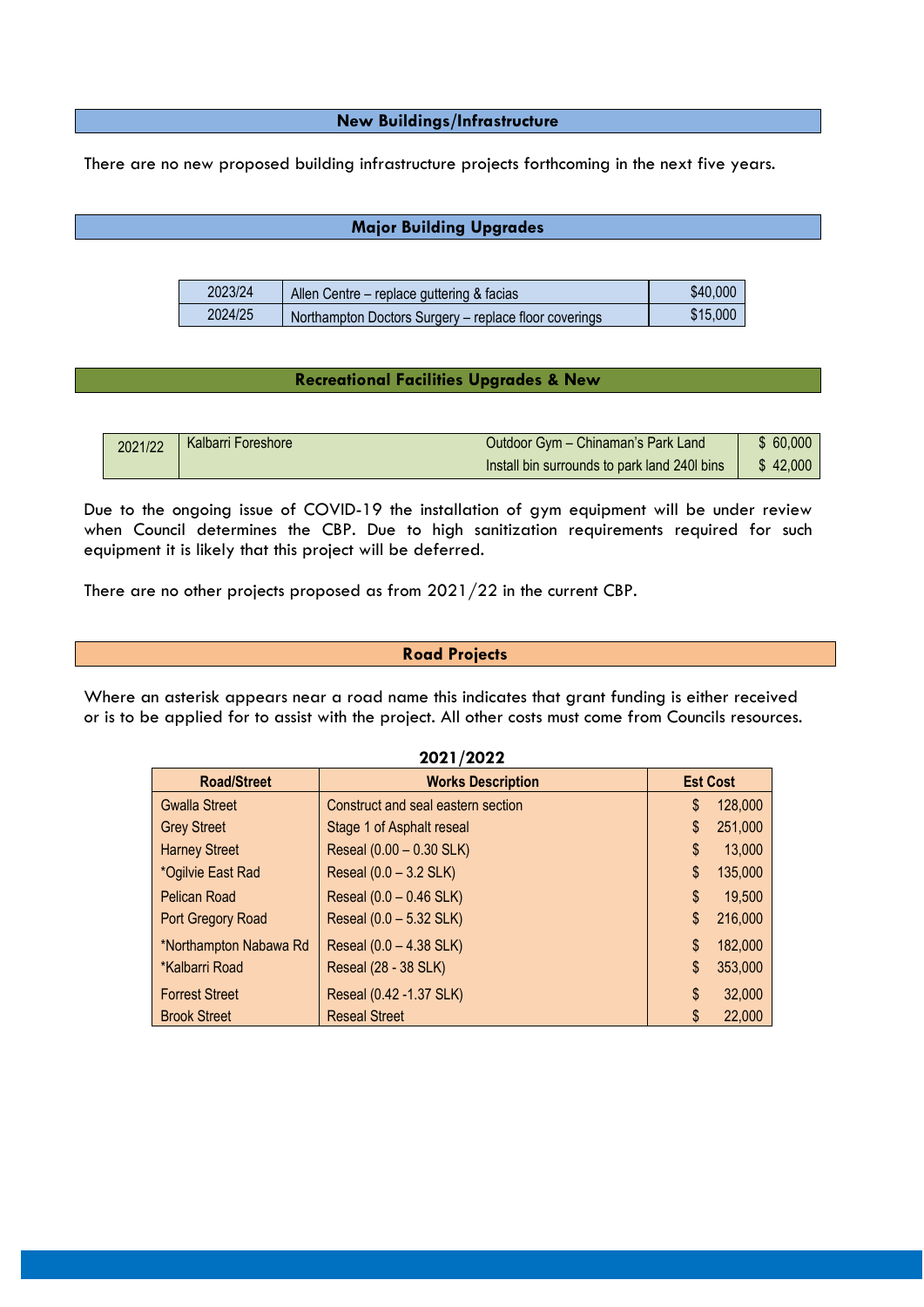**New Buildings/Infrastructure**

There are no new proposed building infrastructure projects forthcoming in the next five years.

## **Major Building Upgrades**

| 2023/24 | Allen Centre - replace guttering & facias             | \$40,000 |
|---------|-------------------------------------------------------|----------|
| 2024/25 | Northampton Doctors Surgery – replace floor coverings | \$15,000 |

## **Recreational Facilities Upgrades & New**

| 2021/22 | <b>Kalbarri Foreshore</b> | Outdoor Gym - Chinaman's Park Land           | \$60,000 |
|---------|---------------------------|----------------------------------------------|----------|
|         |                           | Install bin surrounds to park land 240l bins | \$42,000 |

Due to the ongoing issue of COVID-19 the installation of gym equipment will be under review when Council determines the CBP. Due to high sanitization requirements required for such equipment it is likely that this project will be deferred.

There are no other projects proposed as from 2021/22 in the current CBP.

#### **Road Projects**

Where an asterisk appears near a road name this indicates that grant funding is either received or is to be applied for to assist with the project. All other costs must come from Councils resources.

| 2021/2022              |                                    |    |                 |
|------------------------|------------------------------------|----|-----------------|
| <b>Road/Street</b>     | <b>Works Description</b>           |    | <b>Est Cost</b> |
| <b>Gwalla Street</b>   | Construct and seal eastern section | \$ | 128,000         |
| <b>Grey Street</b>     | Stage 1 of Asphalt reseal          | \$ | 251,000         |
| <b>Harney Street</b>   | Reseal (0.00 - 0.30 SLK)           | \$ | 13,000          |
| *Ogilvie East Rad      | Reseal (0.0 - 3.2 SLK)             | \$ | 135,000         |
| <b>Pelican Road</b>    | Reseal (0.0 - 0.46 SLK)            | \$ | 19,500          |
| Port Gregory Road      | Reseal (0.0 - 5.32 SLK)            | \$ | 216,000         |
| *Northampton Nabawa Rd | Reseal (0.0 - 4.38 SLK)            | \$ | 182,000         |
| *Kalbarri Road         | Reseal (28 - 38 SLK)               | \$ | 353,000         |
| <b>Forrest Street</b>  | Reseal (0.42 -1.37 SLK)            | \$ | 32,000          |
| <b>Brook Street</b>    | <b>Reseal Street</b>               | \$ | 22,000          |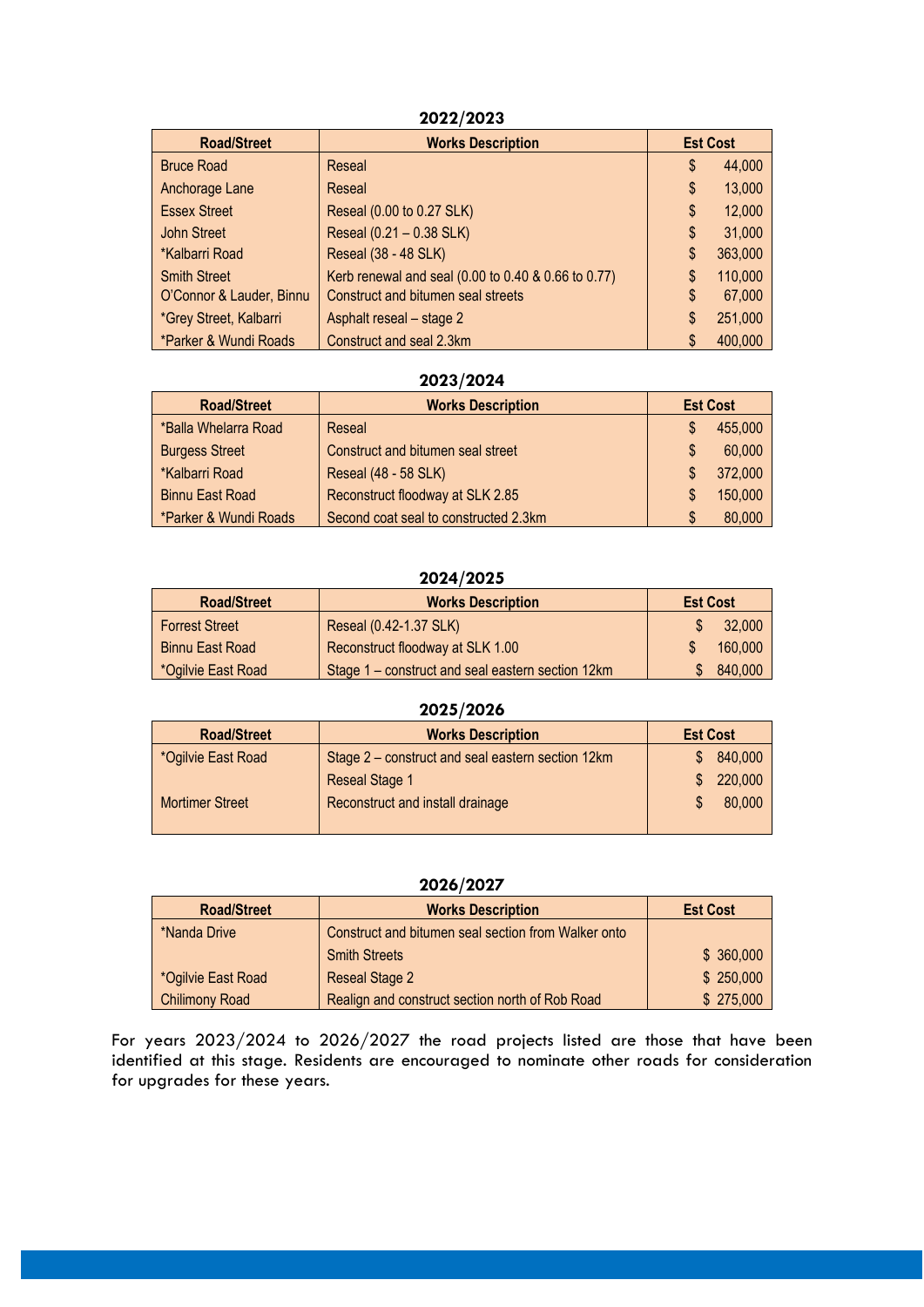## **2022/2023**

| <b>Road/Street</b>       | <b>Works Description</b>                            |    | <b>Est Cost</b> |
|--------------------------|-----------------------------------------------------|----|-----------------|
| <b>Bruce Road</b>        | Reseal                                              | \$ | 44,000          |
| Anchorage Lane           | Reseal                                              | \$ | 13,000          |
| <b>Essex Street</b>      | Reseal (0.00 to 0.27 SLK)                           | S  | 12,000          |
| John Street              | Reseal (0.21 - 0.38 SLK)                            | \$ | 31,000          |
| *Kalbarri Road           | Reseal (38 - 48 SLK)                                | \$ | 363,000         |
| <b>Smith Street</b>      | Kerb renewal and seal (0.00 to 0.40 & 0.66 to 0.77) |    | 110,000         |
| O'Connor & Lauder, Binnu | Construct and bitumen seal streets                  | \$ | 67,000          |
| *Grey Street, Kalbarri   | Asphalt reseal - stage 2                            |    | 251,000         |
| *Parker & Wundi Roads    | Construct and seal 2.3km                            |    | 400,000         |

## **2023/2024**

| <b>Road/Street</b>     | <b>Works Description</b>              |  | <b>Est Cost</b> |
|------------------------|---------------------------------------|--|-----------------|
| *Balla Whelarra Road   | Reseal                                |  | 455,000         |
| <b>Burgess Street</b>  | Construct and bitumen seal street     |  | 60,000          |
| *Kalbarri Road         | Reseal (48 - 58 SLK)                  |  | 372,000         |
| <b>Binnu East Road</b> | Reconstruct floodway at SLK 2.85      |  | 150,000         |
| *Parker & Wundi Roads  | Second coat seal to constructed 2.3km |  | 80,000          |

## **2024/2025**

| <b>Road/Street</b>    | <b>Works Description</b>                          | <b>Est Cost</b> |         |
|-----------------------|---------------------------------------------------|-----------------|---------|
| <b>Forrest Street</b> | Reseal (0.42-1.37 SLK)                            |                 | 32,000  |
| Binnu East Road       | Reconstruct floodway at SLK 1.00                  |                 | 160,000 |
| *Ogilvie East Road    | Stage 1 - construct and seal eastern section 12km |                 | 840,000 |

| 2025/2026              |                                                   |                 |         |
|------------------------|---------------------------------------------------|-----------------|---------|
| <b>Road/Street</b>     | <b>Works Description</b>                          | <b>Est Cost</b> |         |
| *Ogilvie East Road     | Stage 2 – construct and seal eastern section 12km |                 | 840,000 |
|                        | <b>Reseal Stage 1</b>                             |                 | 220,000 |
| <b>Mortimer Street</b> | Reconstruct and install drainage                  |                 | 80,000  |
|                        |                                                   |                 |         |

#### **2026/2027**

| <b>Road/Street</b>    | <b>Works Description</b>                            | <b>Est Cost</b> |
|-----------------------|-----------------------------------------------------|-----------------|
| *Nanda Drive          | Construct and bitumen seal section from Walker onto |                 |
|                       | <b>Smith Streets</b>                                | \$360,000       |
| *Ogilvie East Road    | <b>Reseal Stage 2</b>                               | \$250,000       |
| <b>Chilimony Road</b> | Realign and construct section north of Rob Road     | \$275,000       |

For years 2023/2024 to 2026/2027 the road projects listed are those that have been identified at this stage. Residents are encouraged to nominate other roads for consideration for upgrades for these years.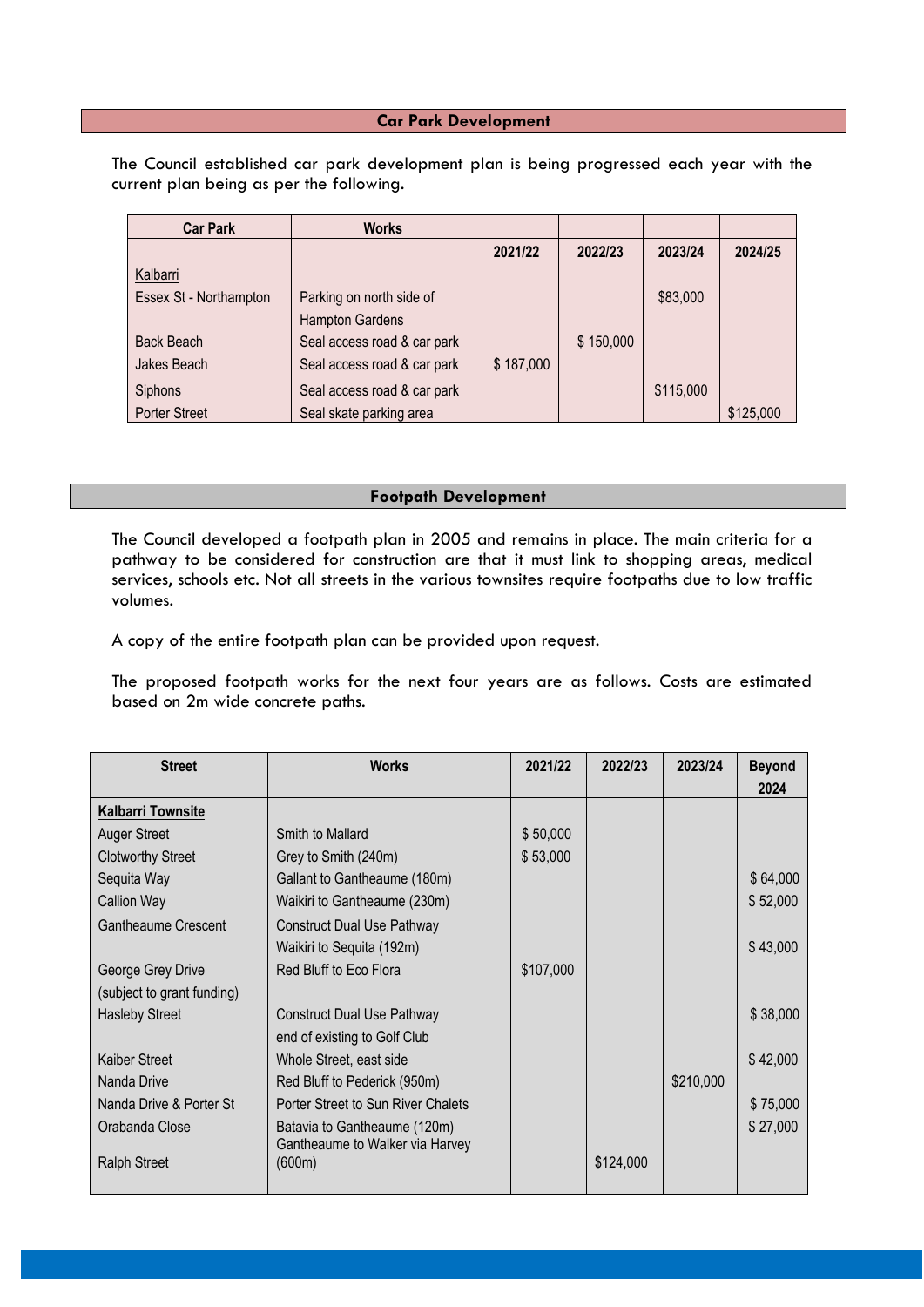## **Car Park Development**

The Council established car park development plan is being progressed each year with the current plan being as per the following.

| <b>Car Park</b>        | <b>Works</b>                |           |           |           |           |
|------------------------|-----------------------------|-----------|-----------|-----------|-----------|
|                        |                             | 2021/22   | 2022/23   | 2023/24   | 2024/25   |
| Kalbarri               |                             |           |           |           |           |
| Essex St - Northampton | Parking on north side of    |           |           | \$83,000  |           |
|                        | <b>Hampton Gardens</b>      |           |           |           |           |
| Back Beach             | Seal access road & car park |           | \$150,000 |           |           |
| Jakes Beach            | Seal access road & car park | \$187,000 |           |           |           |
| <b>Siphons</b>         | Seal access road & car park |           |           | \$115,000 |           |
| <b>Porter Street</b>   | Seal skate parking area     |           |           |           | \$125,000 |

## **Footpath Development**

The Council developed a footpath plan in 2005 and remains in place. The main criteria for a pathway to be considered for construction are that it must link to shopping areas, medical services, schools etc. Not all streets in the various townsites require footpaths due to low traffic volumes.

A copy of the entire footpath plan can be provided upon request.

The proposed footpath works for the next four years are as follows. Costs are estimated based on 2m wide concrete paths.

| <b>Works</b>                       | 2021/22   | 2022/23 | 2023/24   | <b>Beyond</b><br>2024 |
|------------------------------------|-----------|---------|-----------|-----------------------|
|                                    |           |         |           |                       |
| Smith to Mallard                   | \$50,000  |         |           |                       |
| Grey to Smith (240m)               | \$53,000  |         |           |                       |
| Gallant to Gantheaume (180m)       |           |         |           | \$64,000              |
| Waikiri to Gantheaume (230m)       |           |         |           | \$52,000              |
| <b>Construct Dual Use Pathway</b>  |           |         |           |                       |
| Waikiri to Sequita (192m)          |           |         |           | \$43,000              |
| Red Bluff to Eco Flora             | \$107,000 |         |           |                       |
|                                    |           |         |           |                       |
| <b>Construct Dual Use Pathway</b>  |           |         |           | \$38,000              |
| end of existing to Golf Club       |           |         |           |                       |
| Whole Street, east side            |           |         |           | \$42,000              |
| Red Bluff to Pederick (950m)       |           |         | \$210,000 |                       |
| Porter Street to Sun River Chalets |           |         |           | \$75,000              |
| Batavia to Gantheaume (120m)       |           |         |           | \$27,000              |
| Gantheaume to Walker via Harvey    |           |         |           |                       |
| (600m)                             |           |         |           |                       |
|                                    |           |         | \$124,000 |                       |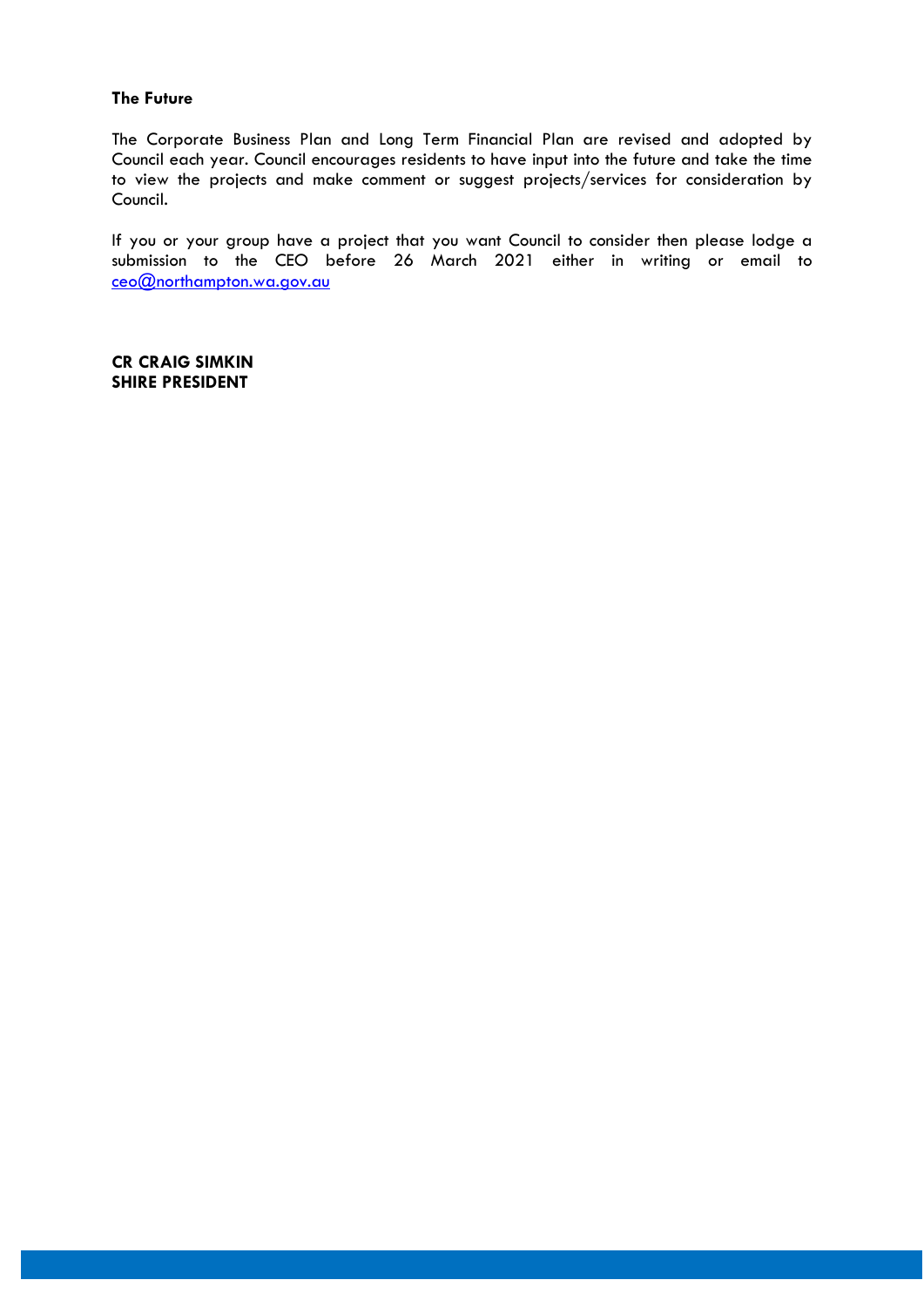## **The Future**

The Corporate Business Plan and Long Term Financial Plan are revised and adopted by Council each year. Council encourages residents to have input into the future and take the time to view the projects and make comment or suggest projects/services for consideration by Council.

If you or your group have a project that you want Council to consider then please lodge a submission to the CEO before 26 March 2021 either in writing or email to [ceo@northampton.wa.gov.au](mailto:ceo@northampton.wa.gov.au)

**CR CRAIG SIMKIN SHIRE PRESIDENT**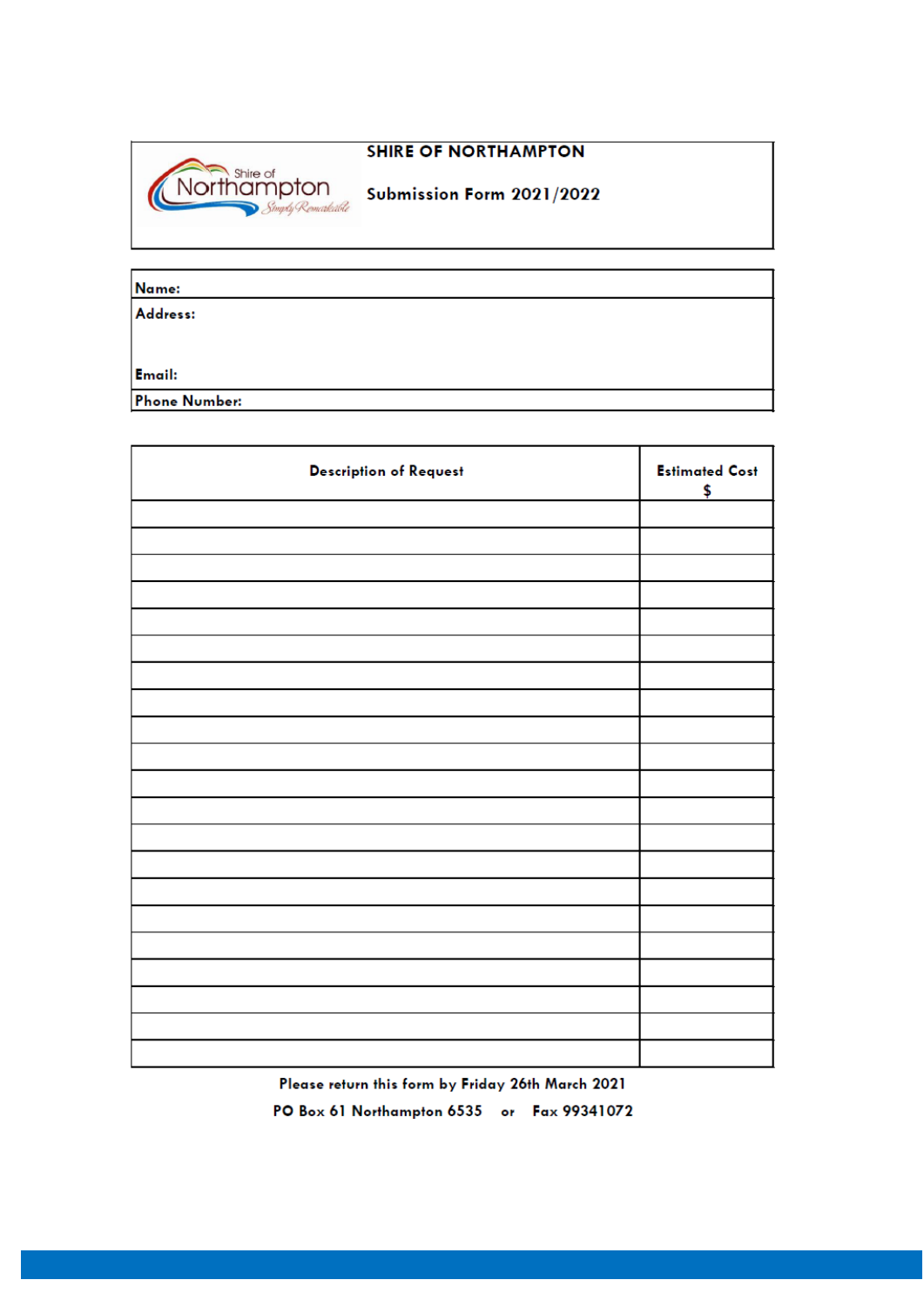## **SHIRE OF NORTHAMPTON**



Submission Form 2021/2022

| Name:                |  |
|----------------------|--|
| Address:             |  |
|                      |  |
|                      |  |
| Email:               |  |
| <b>Phone Number:</b> |  |

| <b>Description of Request</b> | <b>Estimated Cost</b><br>\$ |
|-------------------------------|-----------------------------|
|                               |                             |
|                               |                             |
|                               |                             |
|                               |                             |
|                               |                             |
|                               |                             |
|                               |                             |
|                               |                             |
|                               |                             |
|                               |                             |
|                               |                             |
|                               |                             |
|                               |                             |
|                               |                             |
|                               |                             |
|                               |                             |
|                               |                             |
|                               |                             |
|                               |                             |
|                               |                             |
|                               |                             |

Please return this form by Friday 26th March 2021 PO Box 61 Northampton 6535 or Fax 99341072